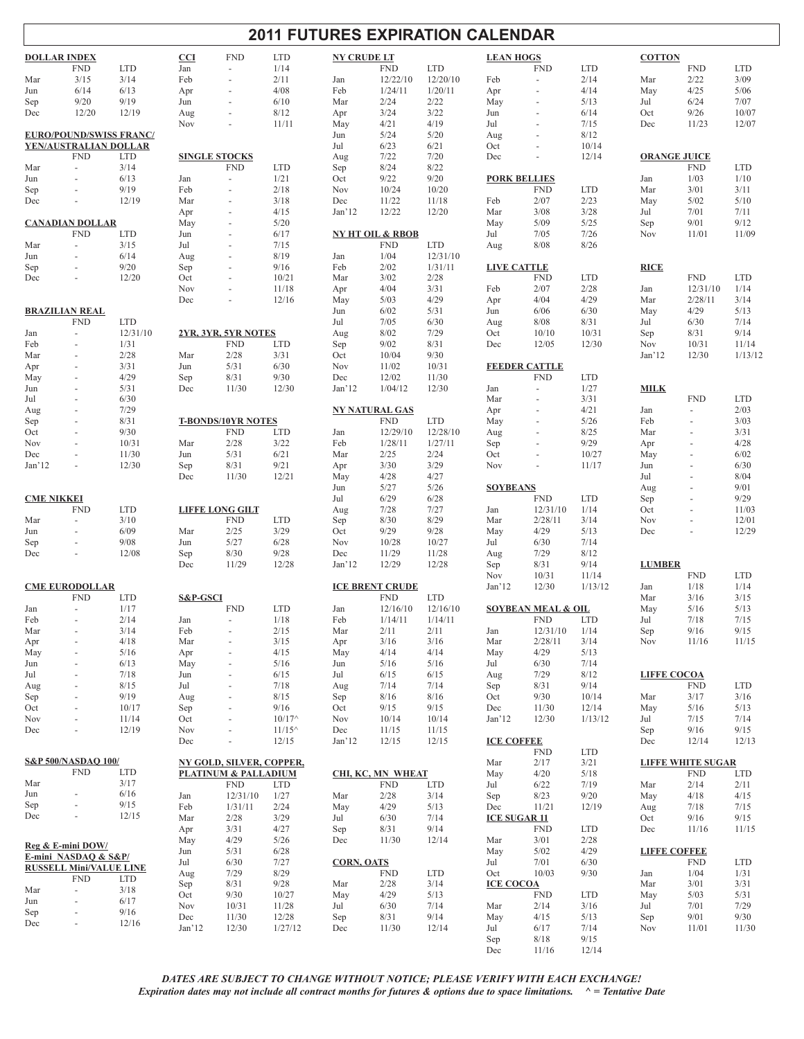|                     |                                |                             |                     |                                 |                  | <b>2011 FUTURES EXPIRATION CALENDAR</b> |                             |            |                     |                               |            |                     |                          |            |
|---------------------|--------------------------------|-----------------------------|---------------------|---------------------------------|------------------|-----------------------------------------|-----------------------------|------------|---------------------|-------------------------------|------------|---------------------|--------------------------|------------|
|                     | <b>DOLLAR INDEX</b>            |                             | <b>CCI</b>          | <b>FND</b>                      | <b>LTD</b>       | <b>NY CRUDE LT</b>                      |                             |            | <b>LEAN HOGS</b>    |                               |            | <b>COTTON</b>       |                          |            |
|                     | <b>FND</b>                     | <b>LTD</b>                  | Jan                 | $\overline{a}$                  | 1/14             |                                         | <b>FND</b>                  | <b>LTD</b> |                     | <b>FND</b>                    | <b>LTD</b> |                     | <b>FND</b>               | <b>LTD</b> |
| Mar                 | 3/15                           | 3/14                        | Feb                 |                                 | 2/11             | Jan                                     | 12/22/10                    | 12/20/10   | Feb                 | $\omega$                      | 2/14       | Mar                 | 2/22                     | 3/09       |
| Jun                 | 6/14                           | 6/13                        | Apr                 | $\overline{\phantom{a}}$        | 4/08             | Feb                                     | 1/24/11                     | 1/20/11    | Apr                 | $\sim$                        | 4/14       | May                 | 4/25                     | 5/06       |
| Sep                 | 9/20                           | 9/19                        | Jun                 |                                 | 6/10             | Mar                                     | 2/24                        | 2/22       | May                 |                               | 5/13       | Jul                 | 6/24                     | 7/07       |
| Dec                 | 12/20                          | 12/19                       | Aug                 | $\overline{\phantom{a}}$        | 8/12             | Apr                                     | 3/24                        | 3/22       | Jun                 | ÷,                            | 6/14       | Oct                 | 9/26                     | 10/07      |
|                     |                                |                             | Nov                 |                                 | 11/11            | May                                     | 4/21                        | 4/19       | Jul                 | $\overline{a}$                | 7/15       | Dec                 | 11/23                    | 12/07      |
|                     | <b>EURO/POUND/SWISS FRANC/</b> |                             |                     |                                 |                  | Jun                                     | 5/24                        | 5/20       | Aug                 |                               | 8/12       |                     |                          |            |
|                     | YEN/AUSTRALIAN DOLLAR          |                             |                     |                                 |                  | Jul                                     | 6/23                        | 6/21       | Oct                 | ÷,                            | 10/14      |                     |                          |            |
|                     | <b>FND</b>                     | <b>LTD</b>                  |                     | <b>SINGLE STOCKS</b>            |                  | Aug                                     | 7/22                        | 7/20       | Dec                 |                               | 12/14      |                     | <b>ORANGE JUICE</b>      |            |
| Mar                 | $\overline{\phantom{a}}$       | 3/14                        |                     | <b>FND</b>                      | <b>LTD</b>       | Sep                                     | 8/24                        | 8/22       |                     |                               |            |                     | <b>FND</b>               | <b>LTD</b> |
| Jun                 | ×.                             | 6/13                        | Jan                 | $\overline{a}$                  | 1/21             | Oct                                     | 9/22                        | 9/20       | <b>PORK BELLIES</b> |                               |            | Jan                 | 1/03                     | 1/10       |
| Sep                 | ä,                             | 9/19                        | Feb                 |                                 | 2/18             | Nov                                     | 10/24                       | 10/20      |                     | <b>FND</b>                    | <b>LTD</b> | Mar                 | 3/01                     | 3/11       |
| Dec                 | ä,                             | 12/19                       | Mar                 | $\overline{\phantom{a}}$        | 3/18             | Dec                                     | 11/22                       | 11/18      | Feb                 | 2/07                          | 2/23       | May                 | 5/02                     | 5/10       |
|                     |                                |                             | Apr                 | $\sim$                          | 4/15             | Jan'12                                  | 12/22                       | 12/20      | Mar                 | 3/08                          | 3/28       | Jul                 | 7/01                     | 7/11       |
|                     | <b>CANADIAN DOLLAR</b>         |                             | May                 | $\overline{\phantom{a}}$        | 5/20             |                                         |                             |            | May                 | 5/09                          | 5/25       | Sep                 | 9/01                     | 9/12       |
|                     | <b>FND</b>                     | <b>LTD</b>                  | Jun                 | $\sim$                          | 6/17             |                                         | <b>NY HT OIL &amp; RBOB</b> |            | Jul                 | 7/05                          | 7/26       | Nov                 | 11/01                    | 11/09      |
| Mar                 | $\sim$                         | 3/15                        | Jul                 | ä,                              | 7/15             |                                         | <b>FND</b>                  | <b>LTD</b> | Aug                 | 8/08                          | 8/26       |                     |                          |            |
| Jun                 | $\overline{\phantom{a}}$       | 6/14                        | Aug                 | $\overline{\phantom{a}}$        | 8/19             | Jan                                     | 1/04                        | 12/31/10   |                     |                               |            |                     |                          |            |
| Sep                 | ä,                             | 9/20                        | Sep                 | $\sim$                          | 9/16             | Feb                                     | 2/02                        | 1/31/11    | <b>LIVE CATTLE</b>  |                               |            | <b>RICE</b>         |                          |            |
| Dec                 | $\overline{\phantom{a}}$       | 12/20                       | Oct                 | $\sim$                          | 10/21            | Mar                                     | 3/02                        | 2/28       |                     | <b>FND</b>                    | <b>LTD</b> |                     | <b>FND</b>               | <b>LTD</b> |
|                     |                                |                             | Nov                 |                                 | 11/18            | Apr                                     | 4/04                        | 3/31       | Feb                 | 2/07                          | 2/28       | Jan                 | 12/31/10                 | 1/14       |
|                     |                                |                             | Dec                 |                                 | 12/16            | May                                     | 5/03                        | 4/29       | Apr                 | 4/04                          | 4/29       | Mar                 | 2/28/11                  | 3/14       |
|                     | <b>BRAZILIAN REAL</b>          |                             |                     |                                 |                  | Jun                                     | 6/02                        | 5/31       | Jun                 | 6/06                          | 6/30       | May                 | 4/29                     | 5/13       |
|                     | <b>FND</b>                     | $\ensuremath{\mathrm{LTD}}$ |                     |                                 |                  | Jul                                     | 7/05                        | 6/30       | Aug                 | 8/08                          | 8/31       | Jul                 | 6/30                     | 7/14       |
| Jan                 | $\overline{\phantom{a}}$       | 12/31/10                    |                     | 2YR, 3YR, 5YR NOTES             |                  | Aug                                     | 8/02                        | 7/29       | Oct                 | 10/10                         | 10/31      | Sep                 | 8/31                     | 9/14       |
| Feb                 | ÷.                             | 1/31                        |                     | <b>FND</b>                      | <b>LTD</b>       | Sep                                     | 9/02                        | 8/31       | Dec                 | 12/05                         | 12/30      | Nov                 | 10/31                    | 11/14      |
| Mar                 | ÷,                             | 2/28                        | Mar                 | 2/28                            | 3/31             | Oct                                     | 10/04                       | 9/30       |                     |                               |            | Jan'12              | 12/30                    | 1/13/12    |
| Apr                 | $\overline{\phantom{a}}$       | 3/31                        | Jun                 | 5/31                            | 6/30             | Nov                                     | 11/02                       | 10/31      |                     | <b>FEEDER CATTLE</b>          |            |                     |                          |            |
| May                 |                                | 4/29                        | Sep                 | 8/31                            | 9/30             | Dec                                     | 12/02                       | 11/30      |                     | <b>FND</b>                    | <b>LTD</b> |                     |                          |            |
| Jun                 | ÷,                             | 5/31                        | Dec                 | 11/30                           | 12/30            | Jan'12                                  | 1/04/12                     | 12/30      | Jan                 | ÷,                            | 1/27       | <b>MILK</b>         |                          |            |
| Jul                 | ä,                             | 6/30                        |                     |                                 |                  |                                         |                             |            | Mar                 | ÷.                            | 3/31       |                     | <b>FND</b>               | <b>LTD</b> |
| Aug                 | ä,                             | 7/29                        |                     |                                 |                  |                                         | <b>NY NATURAL GAS</b>       |            | Apr                 |                               | 4/21       | Jan                 | $\omega$                 | 2/03       |
| Sep                 | ÷,                             | 8/31                        |                     | <b>T-BONDS/10YR NOTES</b>       |                  |                                         | <b>FND</b>                  | <b>LTD</b> | May                 | ÷,                            | 5/26       | Feb                 | $\overline{\phantom{a}}$ | 3/03       |
| Oct                 |                                | 9/30                        |                     | <b>FND</b>                      | <b>LTD</b>       | Jan                                     | 12/29/10                    | 12/28/10   | Aug                 |                               | 8/25       | Mar                 | ÷,                       | 3/31       |
| Nov                 | $\overline{\phantom{a}}$       | 10/31                       | Mar                 | 2/28                            | $3/22$           | Feb                                     | 1/28/11                     | 1/27/11    | Sep                 | ÷,                            | 9/29       | Apr                 | $\overline{\phantom{a}}$ | 4/28       |
| Dec                 | ä,                             | 11/30                       | Jun                 | 5/31                            | 6/21             | Mar                                     | 2/25                        | 2/24       | Oct                 | $\sim$                        | 10/27      | May                 | $\sim$                   | 6/02       |
| Jan <sup>2</sup> 12 |                                | 12/30                       | Sep                 | 8/31                            | 9/21             | Apr                                     | 3/30                        | 3/29       | Nov                 |                               | 11/17      | Jun                 | ÷,                       | 6/30       |
|                     |                                |                             | Dec                 | 11/30                           | 12/21            | May                                     | 4/28                        | 4/27       |                     |                               |            | Jul                 | $\overline{\phantom{a}}$ | 8/04       |
|                     |                                |                             |                     |                                 |                  | Jun                                     | 5/27                        | 5/26       | <b>SOYBEANS</b>     |                               |            | Aug                 | ÷,                       | 9/01       |
| <b>CME NIKKEI</b>   |                                |                             |                     |                                 |                  | Jul                                     | 6/29                        | 6/28       |                     | <b>FND</b>                    | <b>LTD</b> | Sep                 | $\overline{\phantom{a}}$ | 9/29       |
|                     | <b>FND</b>                     | <b>LTD</b>                  |                     | <b>LIFFE LONG GILT</b>          |                  | Aug                                     | 7/28                        | 7/27       | Jan                 | 12/31/10                      | 1/14       | Oct                 | ÷,                       | 11/03      |
| Mar                 | ×.                             | 3/10                        |                     | <b>FND</b>                      | <b>LTD</b>       | Sep                                     | 8/30                        | 8/29       | Mar                 | 2/28/11                       | 3/14       | Nov                 |                          | 12/01      |
| Jun                 | ÷,                             | 6/09                        | Mar                 | 2/25                            | 3/29             | Oct                                     | 9/29                        | 9/28       | May                 | 4/29                          | 5/13       | Dec                 | ÷,                       | 12/29      |
| Sep                 | ä,                             | 9/08                        | Jun                 | 5/27                            | 6/28             | Nov                                     | 10/28                       | 10/27      | Jul                 | 6/30                          | 7/14       |                     |                          |            |
| Dec                 | ä,                             | 12/08                       | Sep                 | 8/30                            | 9/28             | Dec                                     | 11/29                       | 11/28      | Aug                 | 7/29                          | 8/12       |                     |                          |            |
|                     |                                |                             | Dec                 | 11/29                           | 12/28            | Jan'12                                  | 12/29                       | 12/28      | Sep                 | 8/31                          | 9/14       | <b>LUMBER</b>       |                          |            |
|                     |                                |                             |                     |                                 |                  |                                         |                             |            | Nov                 | 10/31                         | 11/14      |                     | <b>FND</b>               | <b>LTD</b> |
|                     | <b>CME EURODOLLAR</b>          |                             |                     |                                 |                  |                                         | <b>ICE BRENT CRUDE</b>      |            | Jan'12              | 12/30                         | 1/13/12    | Jan                 | 1/18                     | 1/14       |
|                     | <b>FND</b>                     | <b>LTD</b>                  | <b>S&amp;P-GSCI</b> |                                 |                  |                                         | <b>FND</b>                  | <b>LTD</b> |                     |                               |            | Mar                 | 3/16                     | 3/15       |
| Jan                 |                                | 1/17                        |                     | <b>FND</b>                      | <b>LTD</b>       | Jan                                     | 12/16/10                    | 12/16/10   |                     | <b>SOYBEAN MEAL &amp; OIL</b> |            | May                 | 5/16                     | 5/13       |
| Feb                 |                                | 2/14                        | Jan                 |                                 | 1/18             | Feb                                     | 1/14/11                     | 1/14/11    |                     | <b>FND</b>                    | <b>LTD</b> | Jul                 | 7/18                     | 7/15       |
| Mar                 |                                | 3/14                        | Feb                 |                                 | 2/15             | Mar                                     | 2/11                        | 2/11       | Jan                 | 12/31/10                      | 1/14       | Sep                 | $9/16$                   | 9/15       |
| Apr                 | ÷,                             | 4/18                        | Mar                 | ÷,                              | 3/15             | Apr                                     | 3/16                        | 3/16       | Mar                 | 2/28/11                       | 3/14       | Nov                 | 11/16                    | 11/15      |
| May                 |                                | 5/16                        | Apr                 | $\sim$                          | 4/15             | May                                     | 4/14                        | 4/14       | May                 | 4/29                          | 5/13       |                     |                          |            |
| Jun                 | ÷,                             | 6/13                        | May                 | $\overline{\phantom{a}}$        | 5/16             | Jun                                     | 5/16                        | 5/16       | Jul                 | 6/30                          | 7/14       |                     |                          |            |
| Jul                 | ä,                             | 7/18                        | Jun                 | $\sim$                          | 6/15             | Jul                                     | 6/15                        | 6/15       | Aug                 | 7/29                          | 8/12       | <b>LIFFE COCOA</b>  |                          |            |
| Aug                 | ÷,                             | 8/15                        | Jul                 | $\sim$                          | 7/18             | Aug                                     | 7/14                        | 7/14       | Sep                 | 8/31                          | 9/14       |                     | <b>FND</b>               | <b>LTD</b> |
| Sep                 | ÷,                             | 9/19                        | Aug                 | ÷,                              | 8/15             | Sep                                     | 8/16                        | 8/16       | Oct                 | 9/30                          | 10/14      | Mar                 | 3/17                     | 3/16       |
| Oct                 |                                | 10/17                       | Sep                 |                                 | 9/16             | Oct                                     | 9/15                        | 9/15       | Dec                 | 11/30                         | 12/14      | May                 | 5/16                     | 5/13       |
| Nov                 | ÷,                             | 11/14                       | Oct                 | $\blacksquare$                  | $10/17^{\wedge}$ | <b>Nov</b>                              | 10/14                       | 10/14      | Jan'12              | 12/30                         | 1/13/12    | Jul                 | 7/15                     | 7/14       |
| Dec                 | $\overline{\phantom{a}}$       | 12/19                       | Nov                 |                                 | $11/15^{\wedge}$ | Dec                                     | 11/15                       | 11/15      |                     |                               |            | Sep                 | 9/16                     | 9/15       |
|                     |                                |                             | Dec                 |                                 | 12/15            | Jan'12                                  | 12/15                       | 12/15      | <b>ICE COFFEE</b>   |                               |            | Dec                 | 12/14                    | 12/13      |
|                     |                                |                             |                     |                                 |                  |                                         |                             |            |                     | <b>FND</b>                    | <b>LTD</b> |                     |                          |            |
|                     | <b>S&amp;P 500/NASDAQ 100/</b> |                             |                     | NY GOLD, SILVER, COPPER,        |                  |                                         |                             |            | Mar                 | 2/17                          | 3/21       |                     | <b>LIFFE WHITE SUGAR</b> |            |
|                     | <b>FND</b>                     | <b>LTD</b>                  |                     | <b>PLATINUM &amp; PALLADIUM</b> |                  |                                         | <b>CHI, KC, MN WHEAT</b>    |            | May                 | 4/20                          | 5/18       |                     | <b>FND</b>               | <b>LTD</b> |
| Mar                 |                                | 3/17                        |                     | <b>FND</b>                      | <b>LTD</b>       |                                         | <b>FND</b>                  | <b>LTD</b> | Jul                 | 6/22                          | 7/19       | Mar                 | 2/14                     | 2/11       |
| Jun                 |                                | 6/16                        | Jan                 | 12/31/10                        | 1/27             | Mar                                     | 2/28                        | 3/14       | Sep                 | 8/23                          | 9/20       | May                 | 4/18                     | 4/15       |
| Sep                 | ÷,                             | 9/15                        | Feb                 | 1/31/11                         | 2/24             | May                                     | 4/29                        | 5/13       | Dec                 | 11/21                         | 12/19      | Aug                 | 7/18                     | 7/15       |
| Dec                 | ä,                             | 12/15                       | Mar                 | 2/28                            | 3/29             | Jul                                     | 6/30                        | 7/14       | <b>ICE SUGAR 11</b> |                               |            | Oct                 | 9/16                     | 9/15       |
|                     |                                |                             | Apr                 | 3/31                            | 4/27             | Sep                                     | 8/31                        | 9/14       |                     | <b>FND</b>                    | <b>LTD</b> | Dec                 | 11/16                    | 11/15      |
|                     | Reg & E-mini DOW/              |                             | May                 | 4/29                            | 5/26             | Dec                                     | 11/30                       | 12/14      | Mar                 | 3/01                          | 2/28       |                     |                          |            |
|                     | E-mini NASDAQ & S&P/           |                             | Jun                 | 5/31                            | 6/28             |                                         |                             |            | May                 | 5/02                          | 4/29       | <b>LIFFE COFFEE</b> |                          |            |
|                     | <b>RUSSELL Mini/VALUE LINE</b> |                             | Jul                 | 6/30                            | 7/27             | <b>CORN, OATS</b>                       |                             |            | Jul                 | 7/01                          | 6/30       |                     | <b>FND</b>               | <b>LTD</b> |
|                     | <b>FND</b>                     | <b>LTD</b>                  | Aug                 | 7/29                            | 8/29             |                                         | <b>FND</b>                  | <b>LTD</b> | Oct                 | 10/03                         | 9/30       | Jan                 | 1/04                     | 1/31       |
|                     | $\overline{\phantom{a}}$       | 3/18                        | Sep                 | 8/31                            | 9/28             | Mar                                     | 2/28                        | 3/14       | <b>ICE COCOA</b>    |                               |            | Mar                 | 3/01                     | 3/31       |
| Mar<br>Jun          | $\overline{\phantom{m}}$       | 6/17                        | Oct                 | 9/30                            | 10/27            | May                                     | 4/29                        | 5/13       |                     | <b>FND</b>                    | <b>LTD</b> | May                 | 5/03                     | 5/31       |
| Sep                 | ä,                             | 9/16                        | Nov                 | 10/31                           | 11/28            | Jul                                     | 6/30                        | 7/14       | Mar                 | 2/14                          | 3/16       | Jul                 | 7/01                     | 7/29       |
| Dec                 | ÷,                             | 12/16                       | Dec                 | 11/30                           | 12/28            | Sep                                     | 8/31                        | 9/14       | May                 | 4/15                          | 5/13       | Sep                 | 9/01                     | 9/30       |
|                     |                                |                             | Jan'12              | 12/30                           | 1/27/12          | Dec                                     | 11/30                       | 12/14      | Jul                 | 6/17                          | 7/14       | Nov                 | 11/01                    | 11/30      |
|                     |                                |                             |                     |                                 |                  |                                         |                             |            | Sep                 | 8/18                          | 9/15       |                     |                          |            |

*DATES ARE SUBJECT TO CHANGE WITHOUT NOTICE; PLEASE VERIFY WITH EACH EXCHANGE! Expiration dates may not include all contract months for futures & options due to space limitations. ^ = Tentative Date*

Dec 11/16 12/14